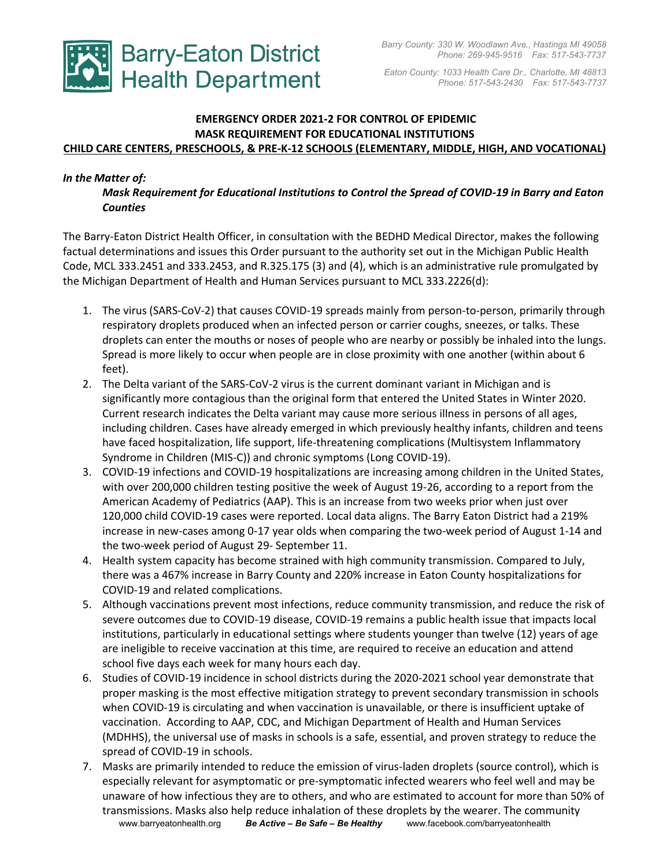

 *Eaton County: 1033 Health Care Dr., Charlotte, MI 48813 Phone: 517-543-2430 Fax: 517-543-7737*

## **EMERGENCY ORDER 2021-2 FOR CONTROL OF EPIDEMIC MASK REQUIREMENT FOR EDUCATIONAL INSTITUTIONS CHILD CARE CENTERS, PRESCHOOLS, & PRE-K-12 SCHOOLS (ELEMENTARY, MIDDLE, HIGH, AND VOCATIONAL)**

### *In the Matter of:*

*Mask Requirement for Educational Institutions to Control the Spread of COVID-19 in Barry and Eaton Counties* 

The Barry-Eaton District Health Officer, in consultation with the BEDHD Medical Director, makes the following factual determinations and issues this Order pursuant to the authority set out in the Michigan Public Health Code, MCL 333.2451 and 333.2453, and R.325.175 (3) and (4), which is an administrative rule promulgated by the Michigan Department of Health and Human Services pursuant to MCL 333.2226(d):

- 1. The virus (SARS-CoV-2) that causes COVID-19 spreads mainly from person-to-person, primarily through respiratory droplets produced when an infected person or carrier coughs, sneezes, or talks. These droplets can enter the mouths or noses of people who are nearby or possibly be inhaled into the lungs. Spread is more likely to occur when people are in close proximity with one another (within about 6 feet).
- 2. The Delta variant of the SARS-CoV-2 virus is the current dominant variant in Michigan and is significantly more contagious than the original form that entered the United States in Winter 2020. Current research indicates the Delta variant may cause more serious illness in persons of all ages, including children. Cases have already emerged in which previously healthy infants, children and teens have faced hospitalization, life support, life-threatening complications (Multisystem Inflammatory Syndrome in Children (MIS-C)) and chronic symptoms (Long COVID-19).
- 3. COVID-19 infections and COVID-19 hospitalizations are increasing among children in the United States, with over 200,000 children testing positive the week of August 19-26, according to a report from the American Academy of Pediatrics (AAP). This is an increase from two weeks prior when just over 120,000 child COVID-19 cases were reported. Local data aligns. The Barry Eaton District had a 219% increase in new-cases among 0-17 year olds when comparing the two-week period of August 1-14 and the two-week period of August 29- September 11.
- 4. Health system capacity has become strained with high community transmission. Compared to July, there was a 467% increase in Barry County and 220% increase in Eaton County hospitalizations for COVID-19 and related complications.
- 5. Although vaccinations prevent most infections, reduce community transmission, and reduce the risk of severe outcomes due to COVID-19 disease, COVID-19 remains a public health issue that impacts local institutions, particularly in educational settings where students younger than twelve (12) years of age are ineligible to receive vaccination at this time, are required to receive an education and attend school five days each week for many hours each day.
- 6. Studies of COVID-19 incidence in school districts during the 2020-2021 school year demonstrate that proper masking is the most effective mitigation strategy to prevent secondary transmission in schools when COVID-19 is circulating and when vaccination is unavailable, or there is insufficient uptake of vaccination. According to AAP, CDC, and Michigan Department of Health and Human Services (MDHHS), the universal use of masks in schools is a safe, essential, and proven strategy to reduce the spread of COVID-19 in schools.
- www.barryeatonhealth.org *Be Active – Be Safe – Be Healthy*www.facebook.com/barryeatonhealth 7. Masks are primarily intended to reduce the emission of virus-laden droplets (source control), which is especially relevant for asymptomatic or pre-symptomatic infected wearers who feel well and may be unaware of how infectious they are to others, and who are estimated to account for more than 50% of transmissions. Masks also help reduce inhalation of these droplets by the wearer. The community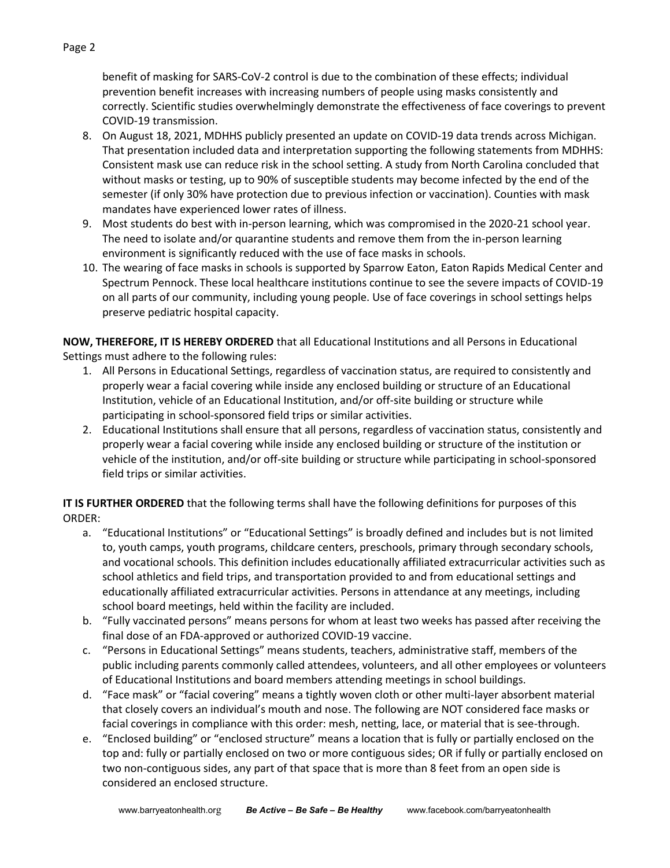benefit of masking for SARS-CoV-2 control is due to the combination of these effects; individual prevention benefit increases with increasing numbers of people using masks consistently and correctly. Scientific studies overwhelmingly demonstrate the effectiveness of face coverings to prevent COVID-19 transmission.

- 8. On August 18, 2021, MDHHS publicly presented an update on COVID-19 data trends across Michigan. That presentation included data and interpretation supporting the following statements from MDHHS: Consistent mask use can reduce risk in the school setting. A study from North Carolina concluded that without masks or testing, up to 90% of susceptible students may become infected by the end of the semester (if only 30% have protection due to previous infection or vaccination). Counties with mask mandates have experienced lower rates of illness.
- 9. Most students do best with in-person learning, which was compromised in the 2020-21 school year. The need to isolate and/or quarantine students and remove them from the in-person learning environment is significantly reduced with the use of face masks in schools.
- 10. The wearing of face masks in schools is supported by Sparrow Eaton, Eaton Rapids Medical Center and Spectrum Pennock. These local healthcare institutions continue to see the severe impacts of COVID-19 on all parts of our community, including young people. Use of face coverings in school settings helps preserve pediatric hospital capacity.

**NOW, THEREFORE, IT IS HEREBY ORDERED** that all Educational Institutions and all Persons in Educational Settings must adhere to the following rules:

- 1. All Persons in Educational Settings, regardless of vaccination status, are required to consistently and properly wear a facial covering while inside any enclosed building or structure of an Educational Institution, vehicle of an Educational Institution, and/or off-site building or structure while participating in school-sponsored field trips or similar activities.
- 2. Educational Institutions shall ensure that all persons, regardless of vaccination status, consistently and properly wear a facial covering while inside any enclosed building or structure of the institution or vehicle of the institution, and/or off-site building or structure while participating in school-sponsored field trips or similar activities.

**IT IS FURTHER ORDERED** that the following terms shall have the following definitions for purposes of this ORDER:

- a. "Educational Institutions" or "Educational Settings" is broadly defined and includes but is not limited to, youth camps, youth programs, childcare centers, preschools, primary through secondary schools, and vocational schools. This definition includes educationally affiliated extracurricular activities such as school athletics and field trips, and transportation provided to and from educational settings and educationally affiliated extracurricular activities. Persons in attendance at any meetings, including school board meetings, held within the facility are included.
- b. "Fully vaccinated persons" means persons for whom at least two weeks has passed after receiving the final dose of an FDA-approved or authorized COVID-19 vaccine.
- c. "Persons in Educational Settings" means students, teachers, administrative staff, members of the public including parents commonly called attendees, volunteers, and all other employees or volunteers of Educational Institutions and board members attending meetings in school buildings.
- d. "Face mask" or "facial covering" means a tightly woven cloth or other multi-layer absorbent material that closely covers an individual's mouth and nose. The following are NOT considered face masks or facial coverings in compliance with this order: mesh, netting, lace, or material that is see-through.
- e. "Enclosed building" or "enclosed structure" means a location that is fully or partially enclosed on the top and: fully or partially enclosed on two or more contiguous sides; OR if fully or partially enclosed on two non-contiguous sides, any part of that space that is more than 8 feet from an open side is considered an enclosed structure.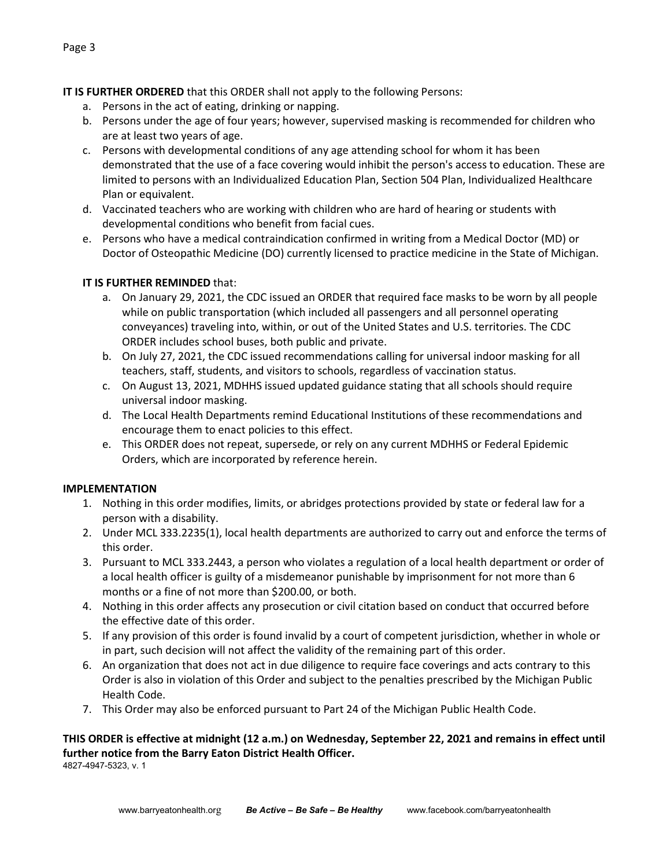# **IT IS FURTHER ORDERED** that this ORDER shall not apply to the following Persons:

- a. Persons in the act of eating, drinking or napping.
- b. Persons under the age of four years; however, supervised masking is recommended for children who are at least two years of age.
- c. Persons with developmental conditions of any age attending school for whom it has been demonstrated that the use of a face covering would inhibit the person's access to education. These are limited to persons with an Individualized Education Plan, Section 504 Plan, Individualized Healthcare Plan or equivalent.
- d. Vaccinated teachers who are working with children who are hard of hearing or students with developmental conditions who benefit from facial cues.
- e. Persons who have a medical contraindication confirmed in writing from a Medical Doctor (MD) or Doctor of Osteopathic Medicine (DO) currently licensed to practice medicine in the State of Michigan.

# **IT IS FURTHER REMINDED** that:

- a. On January 29, 2021, the CDC issued an ORDER that required face masks to be worn by all people while on public transportation (which included all passengers and all personnel operating conveyances) traveling into, within, or out of the United States and U.S. territories. The CDC ORDER includes school buses, both public and private.
- b. On July 27, 2021, the CDC issued recommendations calling for universal indoor masking for all teachers, staff, students, and visitors to schools, regardless of vaccination status.
- c. On August 13, 2021, MDHHS issued updated guidance stating that all schools should require universal indoor masking.
- d. The Local Health Departments remind Educational Institutions of these recommendations and encourage them to enact policies to this effect.
- e. This ORDER does not repeat, supersede, or rely on any current MDHHS or Federal Epidemic Orders, which are incorporated by reference herein.

# **IMPLEMENTATION**

- 1. Nothing in this order modifies, limits, or abridges protections provided by state or federal law for a person with a disability.
- 2. Under MCL 333.2235(1), local health departments are authorized to carry out and enforce the terms of this order.
- 3. Pursuant to MCL 333.2443, a person who violates a regulation of a local health department or order of a local health officer is guilty of a misdemeanor punishable by imprisonment for not more than 6 months or a fine of not more than \$200.00, or both.
- 4. Nothing in this order affects any prosecution or civil citation based on conduct that occurred before the effective date of this order.
- 5. If any provision of this order is found invalid by a court of competent jurisdiction, whether in whole or in part, such decision will not affect the validity of the remaining part of this order.
- 6. An organization that does not act in due diligence to require face coverings and acts contrary to this Order is also in violation of this Order and subject to the penalties prescribed by the Michigan Public Health Code.
- 7. This Order may also be enforced pursuant to Part 24 of the Michigan Public Health Code.

#### **THIS ORDER is effective at midnight (12 a.m.) on Wednesday, September 22, 2021 and remains in effect until further notice from the Barry Eaton District Health Officer.** 4827-4947-5323, v. 1